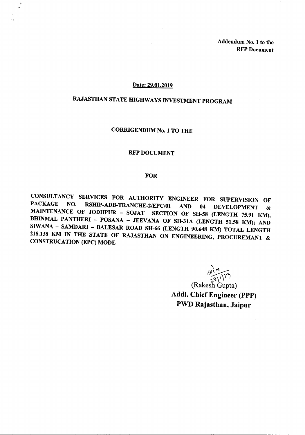Addendum No.1 to the RFP Document

#### Date: 29.01.2019

'.

# RAJASTHAN STATE HIGHWAYS INVESTMENT PROGRAM

## CORRIGENDUM No.1 TO THE

#### RFP DOCUMENT

#### FOR

CONSULTANCY SERVICES FOR AUTHORITY ENGINEER FOR SUPERVISION OF PACKAGE NO. RSHIP-ADB-TRANCHE-2/EPC/01 AND 04 DEVELOPMENT & MAINTENANCE OF JODHPUR - SOJAT SECTION OF SH-58 (LENGTH 75.91 KM), BHINMAL PANTHERI - POSANA - JEEVANA OF SH-31A (LENGTH 51.58 KM); AND SIWANA - SAMDARI - BALESAR ROAD SH-66 (LENGTH 90.648 KM) TOTAL LENGTH 218.138 KM IN THE STATE OF RAJASTHAN ON ENGINEERING, PROCUREMANT & CONSTRUCATION (EPC) MODE

 $\sum_{i=1}^{\infty}$  $\partial \mathcal{L}$  $29$ <sup>\'\'`</sup>

(Rakesh Gupta) Addl. Chief Engineer (PPP) PWD Rajasthan, Jaipur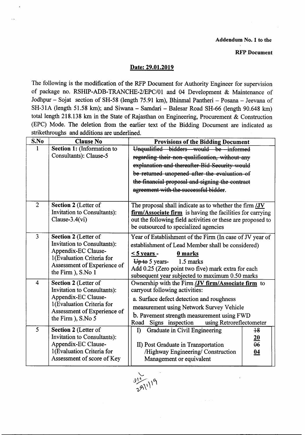### **RFP Document**

# Date: 29.01.2019

The following is the modification of the RFP Document for Authority Engineer for supervision of package no. RSHIP-ADB-TRANCHE-2/EPC/01 and 04 Development & Maintenance of Jodhpur - Sojat section of SH-58 (length 75.91 km), Bhinmal Pantheri - Posana - Jeevana of SH-31A (length 51.58 km); and Siwana - Samdari - Balesar Road SH-66 (length 90.648 km) total length 218.138 km in the State of Rajasthan on Engineering, Procurement & Construction (EPC) Mode. The deletion from the earlier text of the Bidding Document are indicated as strikethroughs and additions are underlined.

| S.No           | <b>Clause No</b>                                                                                                                            | <b>Provisions of the Bidding Document</b>                                                                                |  |  |
|----------------|---------------------------------------------------------------------------------------------------------------------------------------------|--------------------------------------------------------------------------------------------------------------------------|--|--|
| 1              | Section 1: (Information to                                                                                                                  | Unqualified bidders would be informed                                                                                    |  |  |
|                | Consultants): Clause-5                                                                                                                      | regarding their non-qualification, without any                                                                           |  |  |
|                |                                                                                                                                             | explanation and thereafter-Bid Security would                                                                            |  |  |
|                |                                                                                                                                             | be-returned unopened after the evaluation of                                                                             |  |  |
|                |                                                                                                                                             | the financial proposal and signing the contract                                                                          |  |  |
|                |                                                                                                                                             | agreement with the successful bidder.                                                                                    |  |  |
|                |                                                                                                                                             |                                                                                                                          |  |  |
| $\overline{2}$ | Section 2 (Letter of                                                                                                                        | The proposal shall indicate as to whether the firm $JV$                                                                  |  |  |
|                | <b>Invitation to Consultants):</b><br>Clause- $3.4$ (vi)                                                                                    | firm/Associate firm is having the facilities for carrying<br>out the following field activities or these are proposed to |  |  |
|                |                                                                                                                                             | be outsourced to specialized agencies                                                                                    |  |  |
|                |                                                                                                                                             |                                                                                                                          |  |  |
| $\overline{3}$ | Section 2 (Letter of                                                                                                                        | Year of Establishment of the Firm (In case of JV year of                                                                 |  |  |
|                | <b>Invitation to Consultants):</b><br>Appendix-EC Clause-<br>1(Evaluation Criteria for<br>Assessment of Experience of<br>the Firm ), S.No 1 | establishment of Lead Member shall be considered)                                                                        |  |  |
|                |                                                                                                                                             | $\leq$ 5 years -<br>0 marks                                                                                              |  |  |
|                |                                                                                                                                             | $\overline{U}$ + $\theta$ 5 years-<br>1.5 marks                                                                          |  |  |
|                |                                                                                                                                             | Add 0.25 (Zero point two five) mark extra for each                                                                       |  |  |
| $\overline{4}$ | Section 2 (Letter of                                                                                                                        | subsequent year subjected to maximum 0.50 marks<br>Ownership with the Firm <b>(JV firm/Associate firm</b> to             |  |  |
|                | <b>Invitation to Consultants):</b>                                                                                                          | carryout following activities:                                                                                           |  |  |
|                | Appendix-EC Clause-                                                                                                                         | a. Surface defect detection and roughness                                                                                |  |  |
|                | 1(Evaluation Criteria for<br>Assessment of Experience of<br>the Firm ), S.No 5                                                              | measurement using Network Survey Vehicle                                                                                 |  |  |
|                |                                                                                                                                             | b. Pavement strength measurement using FWD                                                                               |  |  |
|                |                                                                                                                                             | Road<br>Signs inspection<br>using Retroreflectometer                                                                     |  |  |
| 5              | Section 2 (Letter of                                                                                                                        | Graduate in Civil Engineering<br>$\bf{D}$<br>$+8$                                                                        |  |  |
|                | Invitation to Consultants):                                                                                                                 | 20                                                                                                                       |  |  |
|                | Appendix-EC Clause-                                                                                                                         | $\theta$<br>II) Post Graduate in Transportation                                                                          |  |  |
|                | 1(Evaluation Criteria for                                                                                                                   | /Highway Engineering/ Construction<br>04                                                                                 |  |  |
|                | Assessment of score of Key                                                                                                                  | Management or equivalent                                                                                                 |  |  |

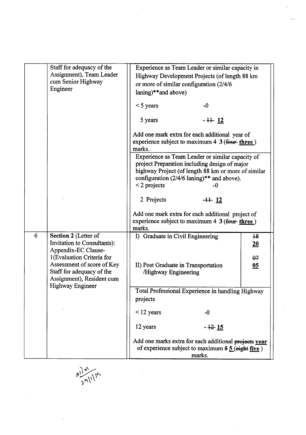|   | Staff for adequacy of the<br>Assignment), Team Leader<br>cum Senior Highway                                                           | Experience as Team Leader or similar capacity in<br>Highway Development Projects (of length 88 km<br>or more of similar configuration (2/4/6)                                 |  |
|---|---------------------------------------------------------------------------------------------------------------------------------------|-------------------------------------------------------------------------------------------------------------------------------------------------------------------------------|--|
|   | Engineer                                                                                                                              | laning)**and above)                                                                                                                                                           |  |
|   |                                                                                                                                       | $<$ 5 years<br>$-0$                                                                                                                                                           |  |
|   |                                                                                                                                       | 5 years<br>$-11$ $12$                                                                                                                                                         |  |
|   |                                                                                                                                       | Add one mark extra for each additional year of<br>experience subject to maximum $4 \cdot 3$ (four-three)<br>marks.<br>Experience as Team Leader or similar capacity of        |  |
|   |                                                                                                                                       | project Preparation including design of major<br>highway Project (of length 88 km or more of similar<br>configuration $(2/4/6 \tanh y)**$ and above).<br>$<$ 2 projects<br>-0 |  |
|   |                                                                                                                                       | 2 Projects<br>$-11 - 12$                                                                                                                                                      |  |
|   |                                                                                                                                       | Add one mark extra for each additional project of<br>experience subject to maximum $4 \cdot 3$ (four-three)<br>marks.                                                         |  |
| 6 | Section 2 (Letter of<br>Invitation to Consultants):<br>Appendix-EC Clause-                                                            | I) Graduate in Civil Engineering<br>18<br>20                                                                                                                                  |  |
|   | 1(Evaluation Criteria for<br>Assessment of score of Key<br>Staff for adequacy of the<br>Assignment), Resident cum<br>Highway Engineer | $\theta$ 7<br>II) Post Graduate in Transportation<br>$\underline{05}$<br>/Highway Engineering                                                                                 |  |
|   |                                                                                                                                       | Total Professional Experience in handling Highway<br>projects                                                                                                                 |  |
|   |                                                                                                                                       | $\leq$ 12 years<br>$-0$                                                                                                                                                       |  |
|   |                                                                                                                                       | 12 years<br>- <del>12</del> 1 <u>5</u>                                                                                                                                        |  |
|   |                                                                                                                                       | Add one marks extra for each additional projects year<br>of experience subject to maximum $85$ (eight five)<br>marks.                                                         |  |

 $\label{eq:2} \frac{1}{2} \int_{\mathbb{R}^3} \frac{1}{\sqrt{2}} \, \mathrm{d} \xi \, \mathrm{d} \xi$ 

 $\frac{\partial l^{(d)}(q)}{\partial q^{(1)}|q^{n}}$ 

 $\ddot{\phantom{1}}$ 

 $\bar{\gamma}$ 

 $\frac{1}{2}$ 

 $\bar{\psi}$  .

 $\bar{\gamma}$ 

 $\frac{1}{2}$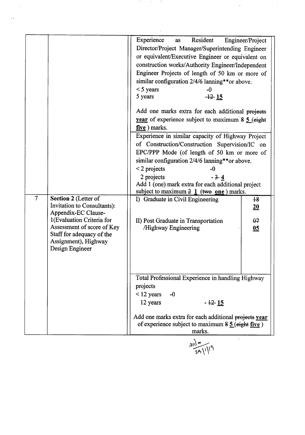|                |                                                                                                                                 | Experience<br>Resident<br>as<br>Director/Project Manager/Superintending Engineer<br>or equivalent/Executive Engineer or equivalent on<br>construction works/Authority Engineer/Independent<br>Engineer Projects of length of 50 km or more of<br>similar configuration 2/4/6 lanning**or above.<br>$<$ 5 years<br>-0<br>$-12$ 15<br>5 years | Engineer/Project         |
|----------------|---------------------------------------------------------------------------------------------------------------------------------|---------------------------------------------------------------------------------------------------------------------------------------------------------------------------------------------------------------------------------------------------------------------------------------------------------------------------------------------|--------------------------|
|                |                                                                                                                                 | Add one marks extra for each additional projects<br><b>year</b> of experience subject to maximum $\frac{8}{5}$ (eight)<br>five ) marks.                                                                                                                                                                                                     |                          |
|                |                                                                                                                                 | Experience in similar capacity of Highway Project<br>of Construction/Construction Supervision/IC on<br>EPC/PPP Mode (of length of 50 km or more of<br>similar configuration 2/4/6 lanning**or above.                                                                                                                                        |                          |
|                |                                                                                                                                 | $<$ 2 projects<br>$-0$<br>2 projects<br>$-3-4$<br>Add 1 (one) mark extra for each additional project<br>subject to maximum $2 \underline{1}$ (two <u>one</u> ) marks.                                                                                                                                                                       |                          |
| $\overline{7}$ | Section 2 (Letter of<br>Invitation to Consultants):<br>Appendix-EC Clause-                                                      | I) Graduate in Civil Engineering                                                                                                                                                                                                                                                                                                            | $+8$<br>$\underline{20}$ |
|                | 1(Evaluation Criteria for<br>Assessment of score of Key<br>Staff for adequacy of the<br>Assignment), Highway<br>Design Engineer | II) Post Graduate in Transportation<br>/Highway Engineering                                                                                                                                                                                                                                                                                 | $\theta$ 7<br>05         |
|                |                                                                                                                                 | Total Professional Experience in handling Highway<br>projects<br>$<$ 12 years<br>$-0$<br>12 years<br>$-12 - 15$                                                                                                                                                                                                                             |                          |
|                |                                                                                                                                 | Add one marks extra for each additional projects year<br>of experience subject to maximum $8\frac{5}{9}$ (eight five)<br>marks.                                                                                                                                                                                                             |                          |

사막 시설 - 주방<br>-

 $\epsilon$ 

 $\ddot{\phantom{0}}$ 

 $\frac{a_1}{2} \frac{c_1}{2}$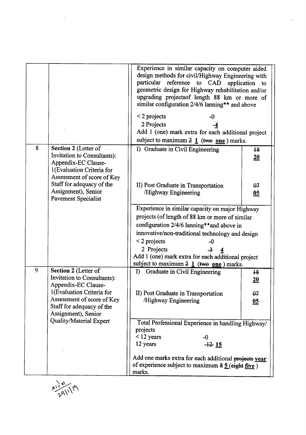|   |                                                                                                                                                                                                                         | Experience in similar capacity on computer aided<br>design methods for civil/Highway Engineering with<br>particular reference to CAD<br>application<br>geometric design for Highway rehabilitation and/or<br>upgrading projectsof length 88 km or more of<br>similar configuration 2/4/6 lanning** and above<br>$<$ 2 projects<br>2 Projects<br>Add 1 (one) mark extra for each additional project<br>subject to maximum $2 \underline{1}$ (two <u>one</u> ) marks. | to                                        |
|---|-------------------------------------------------------------------------------------------------------------------------------------------------------------------------------------------------------------------------|---------------------------------------------------------------------------------------------------------------------------------------------------------------------------------------------------------------------------------------------------------------------------------------------------------------------------------------------------------------------------------------------------------------------------------------------------------------------|-------------------------------------------|
| 8 | Section 2 (Letter of<br>Invitation to Consultants):<br>Appendix-EC Clause-<br>1(Evaluation Criteria for<br>Assessment of score of Key<br>Staff for adequacy of the<br>Assignment), Senior<br><b>Pavement Specialist</b> | I) Graduate in Civil Engineering<br>II) Post Graduate in Transportation<br>/Highway Engineering                                                                                                                                                                                                                                                                                                                                                                     | $+8$<br>20<br>$\theta$ 7<br>05            |
|   |                                                                                                                                                                                                                         | Experience in similar capacity on major Highway<br>projects (of length of 88 km or more of similar<br>configuration 2/4/6 lanning**and above in<br>innovative/non-traditional technology and design<br>$<$ 2 projects<br>-0<br>2 Projects<br>Add 1 (one) mark extra for each additional project<br>subject to maximum $2 \frac{1}{1}$ (two one) marks.                                                                                                              |                                           |
| 9 | Section 2 (Letter of<br><b>Invitation to Consultants):</b><br>Appendix-EC Clause-<br>1(Evaluation Criteria for<br>Assessment of score of Key<br>Staff for adequacy of the<br>Assignment), Senior                        | Graduate in Civil Engineering<br>$I$ )<br>II) Post Graduate in Transportation<br>Highway Engineering                                                                                                                                                                                                                                                                                                                                                                | $\overline{18}$<br>20<br>$\theta$ 7<br>05 |
|   | Quality/Material Expert                                                                                                                                                                                                 | Total Professional Experience in handling Highway/<br>projects<br>$<$ 12 years<br>-0<br>12 years<br>$-12 - 15$<br>Add one marks extra for each additional projects year<br>of experience subject to maximum $85$ (eight five)<br>marks.                                                                                                                                                                                                                             |                                           |

 $\mathcal{L}_{\mathcal{L}}$ 

 $a_16$   $a_2$   $a_3$   $b_1$   $b_2$ 

 $\mathcal{A}^{\text{max}}_{\text{max}}$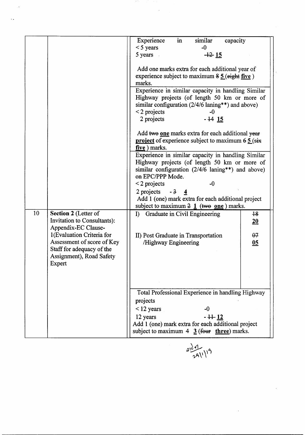|    |                             | in<br>similar<br>Experience<br>capacity                             |                  |
|----|-----------------------------|---------------------------------------------------------------------|------------------|
|    |                             | $-0$                                                                |                  |
|    |                             | $<$ 5 years                                                         |                  |
|    |                             | 5 years .<br>$-12$ $15$                                             |                  |
|    |                             |                                                                     |                  |
|    |                             | Add one marks extra for each additional year of                     |                  |
|    |                             | experience subject to maximum $\frac{85}{2}$ (eight five)           |                  |
|    |                             | marks.                                                              |                  |
|    |                             | Experience in similar capacity in handling Similar                  |                  |
|    |                             | Highway projects (of length 50 km or more of                        |                  |
|    |                             | similar configuration (2/4/6 laning**) and above)                   |                  |
|    |                             | $\leq$ 2 projects<br>-0                                             |                  |
|    |                             |                                                                     |                  |
|    |                             | $-14$ 15<br>2 projects                                              |                  |
|    |                             |                                                                     |                  |
|    |                             | Add two one marks extra for each additional year                    |                  |
|    |                             | <b>project</b> of experience subject to maximum $6\frac{5}{3}$ (six |                  |
|    |                             | five ) marks.                                                       |                  |
|    |                             | Experience in similar capacity in handling Similar                  |                  |
|    |                             | Highway projects (of length 50 km or more of                        |                  |
|    |                             | similar configuration $(2/4/6 \tlannig**)$ and above)               |                  |
|    |                             | on EPC/PPP Mode.                                                    |                  |
|    |                             | $\leq$ 2 projects<br>$-0$                                           |                  |
|    |                             |                                                                     |                  |
|    |                             | $2$ projects - $3$ 4                                                |                  |
|    |                             | Add 1 (one) mark extra for each additional project                  |                  |
|    |                             | subject to maximum $2 \frac{1}{1}$ (two one) marks.                 |                  |
| 10 | Section 2 (Letter of        | I) Graduate in Civil Engineering                                    | $+8$             |
|    | Invitation to Consultants): |                                                                     | 20               |
|    | Appendix-EC Clause-         |                                                                     |                  |
|    | 1(Evaluation Criteria for   | II) Post Graduate in Transportation                                 | $\theta$ 7       |
|    | Assessment of score of Key  | /Highway Engineering                                                | $\underline{05}$ |
|    | Staff for adequacy of the   |                                                                     |                  |
|    | Assignment), Road Safety    |                                                                     |                  |
|    |                             |                                                                     |                  |
|    | Expert                      |                                                                     |                  |
|    |                             |                                                                     |                  |
|    |                             |                                                                     |                  |
|    |                             |                                                                     |                  |
|    |                             | Total Professional Experience in handling Highway                   |                  |
|    |                             | projects                                                            |                  |
|    |                             | $<$ 12 years<br>-0                                                  |                  |
|    |                             | $-1 + 12$<br>12 years                                               |                  |
|    |                             |                                                                     |                  |
|    |                             | Add 1 (one) mark extra for each additional project                  |                  |
|    |                             | subject to maximum $4 \frac{3}{2}$ (four three) marks.              |                  |

979

 $\mathcal{A}$ 

 $\ddot{\phantom{a}}$ 

 $\ddotsc$ 



 $\overline{\phantom{a}}$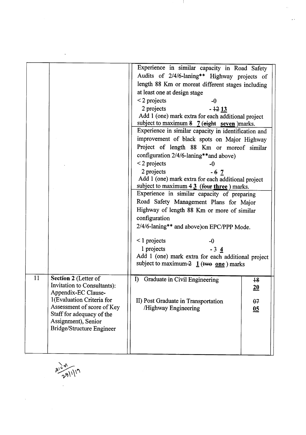|                                                                                                                                                                                                                              | Experience in similar capacity in Road Safety<br>Audits of 2/4/6-laning** Highway projects of<br>length 88 Km or moreat different stages including<br>at least one at design stage<br>$\leq$ 2 projects<br>$-0$<br>2 projects<br>$-1213$<br>Add 1 (one) mark extra for each additional project<br>subject to maximum $8 \tT$ (eight seven ) marks.<br>Experience in similar capacity in identification and<br>improvement of black spots on Major Highway<br>Project of length 88 Km or moreof similar<br>configuration 2/4/6-laning**and above)<br>$\leq$ 2 projects<br>-0<br>2 projects<br>$-67$<br>Add 1 (one) mark extra for each additional project<br>subject to maximum $4 \frac{3}{2}$ (four three) marks.<br>Experience in similar capacity of preparing<br>Road Safety Management Plans for Major<br>Highway of length 88 Km or more of similar<br>configuration<br>2/4/6-laning** and above)on EPC/PPP Mode.<br>$\leq$ 1 projects<br>-0<br>1 projects<br>$-34$<br>Add 1 (one) mark extra for each additional project<br>subject to maximum-2 $1$ (two one) marks |                                                         |
|------------------------------------------------------------------------------------------------------------------------------------------------------------------------------------------------------------------------------|-----------------------------------------------------------------------------------------------------------------------------------------------------------------------------------------------------------------------------------------------------------------------------------------------------------------------------------------------------------------------------------------------------------------------------------------------------------------------------------------------------------------------------------------------------------------------------------------------------------------------------------------------------------------------------------------------------------------------------------------------------------------------------------------------------------------------------------------------------------------------------------------------------------------------------------------------------------------------------------------------------------------------------------------------------------------------------|---------------------------------------------------------|
|                                                                                                                                                                                                                              |                                                                                                                                                                                                                                                                                                                                                                                                                                                                                                                                                                                                                                                                                                                                                                                                                                                                                                                                                                                                                                                                             |                                                         |
| 11<br>Section 2 (Letter of<br>Invitation to Consultants):<br>Appendix-EC Clause-<br>1(Evaluation Criteria for<br>Assessment of score of Key<br>Staff for adequacy of the<br>Assignment), Senior<br>Bridge/Structure Engineer | $\bf{D}$<br>Graduate in Civil Engineering<br>II) Post Graduate in Transportation<br>/Highway Engineering                                                                                                                                                                                                                                                                                                                                                                                                                                                                                                                                                                                                                                                                                                                                                                                                                                                                                                                                                                    | $\overline{18}$<br>20<br>$\theta$ 7<br>$\underline{05}$ |

 $3104$ <br> $281119$ 

4.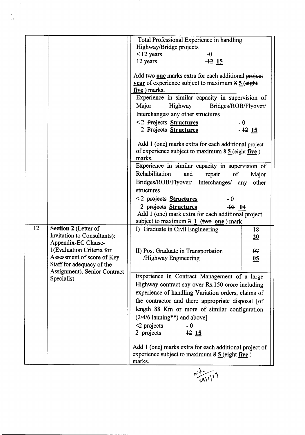|    |                                                           | Total Professional Experience in handling                                                                                     |  |
|----|-----------------------------------------------------------|-------------------------------------------------------------------------------------------------------------------------------|--|
|    |                                                           | Highway/Bridge projects                                                                                                       |  |
|    |                                                           | $<$ 12 years<br>$-0$                                                                                                          |  |
|    |                                                           | 12 years<br>$-12$ 15                                                                                                          |  |
|    |                                                           |                                                                                                                               |  |
|    |                                                           | Add two one marks extra for each additional project                                                                           |  |
|    |                                                           | year of experience subject to maximum 8 5 (eight                                                                              |  |
|    |                                                           | five ) marks.                                                                                                                 |  |
|    |                                                           | Experience in similar capacity in supervision of                                                                              |  |
|    |                                                           | Major<br>Highway<br>Bridges/ROB/Flyover/                                                                                      |  |
|    |                                                           | Interchanges/ any other structures                                                                                            |  |
|    |                                                           | <2 Projects Structures<br>$-0$                                                                                                |  |
|    |                                                           | 2 Projects Structures<br>$-12$ 15                                                                                             |  |
|    |                                                           | Add 1 (one) marks extra for each additional project<br>of experience subject to maximum $\frac{35}{2}$ (eight five)           |  |
|    |                                                           | marks.                                                                                                                        |  |
|    |                                                           | Experience in similar capacity in supervision of                                                                              |  |
|    |                                                           | Rehabilitation<br>repair<br>$\sigma$<br>and<br>Major                                                                          |  |
|    |                                                           | Bridges/ROB/Flyover/ Interchanges/<br>other<br>any                                                                            |  |
|    |                                                           | structures                                                                                                                    |  |
|    |                                                           | <2 projects Structures<br>$-0$                                                                                                |  |
|    |                                                           | 2 projects Structures<br>$-03$ 04                                                                                             |  |
|    |                                                           | Add 1 (one) mark extra for each additional project                                                                            |  |
|    |                                                           | subject to maximum $2 \underline{1}$ (two one) mark                                                                           |  |
| 12 | Section 2 (Letter of<br>Invitation to Consultants):       | I) Graduate in Civil Engineering<br>$+8$<br>20                                                                                |  |
|    | Appendix-EC Clause-                                       |                                                                                                                               |  |
|    | 1(Evaluation Criteria for                                 | II) Post Graduate in Transportation<br>$\theta$ 7                                                                             |  |
|    | Assessment of score of Key                                | /Highway Engineering<br>05                                                                                                    |  |
|    | Staff for adequacy of the<br>Assignment), Senior Contract |                                                                                                                               |  |
|    | Specialist                                                | Experience in Contract Management of a large                                                                                  |  |
|    |                                                           | Highway contract say over Rs.150 crore including                                                                              |  |
|    |                                                           | experience of handling Variation orders, claims of                                                                            |  |
|    |                                                           | the contractor and there appropriate disposal [of                                                                             |  |
|    |                                                           | length 88 Km or more of similar configuration                                                                                 |  |
|    |                                                           | $(2/4/6$ lanning**) and above]                                                                                                |  |
|    |                                                           |                                                                                                                               |  |
|    |                                                           | $\leq$ projects<br>$-0$<br>2 projects<br>1215                                                                                 |  |
|    |                                                           |                                                                                                                               |  |
|    |                                                           | Add 1 (one) marks extra for each additional project of<br>experience subject to maximum $\frac{85}{2}$ (eight five)<br>marks. |  |
|    |                                                           |                                                                                                                               |  |
|    |                                                           |                                                                                                                               |  |
|    |                                                           |                                                                                                                               |  |

 $\sim$   $\sigma_{\rm c}$ 

 $\hat{\mathcal{A}}$ 

 $\frac{1}{2}$ 

 $\ddot{\cdot}$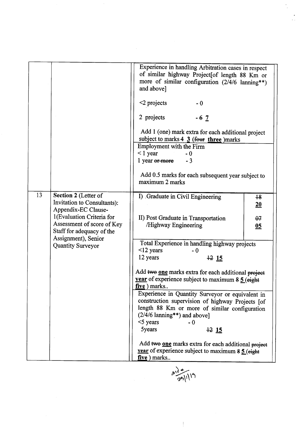|    |                                                                                                                                                                                                                | Experience in handling Arbitration cases in respect<br>of similar highway Project[of length 88 Km or<br>more of similar configuration $(2/4/6 \tlanning**)$<br>and above]<br>$\leq$ 2 projects<br>$-0$<br>2 projects<br>$-67$<br>Add 1 (one) mark extra for each additional project<br>subject to marks $4 \frac{3}{2}$ (four three )marks<br>Employment with the Firm<br>$\leq$ 1 year<br>$-0$<br>1 year or more<br>$-3$<br>Add 0.5 marks for each subsequent year subject to<br>maximum 2 marks                                                                                                                                                                                                                     |                                |
|----|----------------------------------------------------------------------------------------------------------------------------------------------------------------------------------------------------------------|-----------------------------------------------------------------------------------------------------------------------------------------------------------------------------------------------------------------------------------------------------------------------------------------------------------------------------------------------------------------------------------------------------------------------------------------------------------------------------------------------------------------------------------------------------------------------------------------------------------------------------------------------------------------------------------------------------------------------|--------------------------------|
| 13 | Section 2 (Letter of<br>Invitation to Consultants):<br>Appendix-EC Clause-<br>1(Evaluation Criteria for<br>Assessment of score of Key<br>Staff for adequacy of the<br>Assignment), Senior<br>Quantity Surveyor | I) Graduate in Civil Engineering<br>II) Post Graduate in Transportation<br>Highway Engineering<br>Total Experience in handling highway projects<br>$<$ 12 years<br>$-0$<br>12 years<br>1215<br>Add two one marks extra for each additional project<br>year of experience subject to maximum $8\frac{5}{9}$ (eight<br>five ) marks<br>Experience in Quantity Surveyor or equivalent in<br>construction supervision of highway Projects [of<br>length 88 Km or more of similar configuration<br>$(2/4/6 \; \text{lanning**})$ and above]<br>$<$ 5 years<br>- 0<br>5years<br>1215<br>Add two one marks extra for each additional project<br>year of experience subject to maximum $8\frac{5}{9}$ (eight)<br>five ) marks | $+8$<br>20<br>$\theta$ 7<br>05 |

 $\frac{1}{2}$ 

 $\hat{\mathcal{A}}$ 

 $\frac{a^{10}}{271119}$ 

 $\overline{\mathbb{F}}$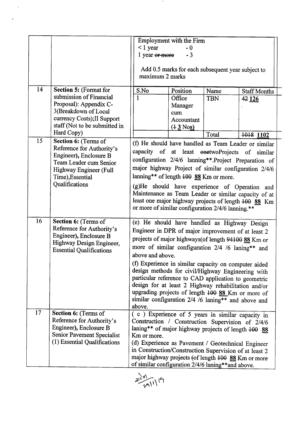|    |                                                                                                                                                                                          | $\leq$ 1 year<br>1 year or more<br>maximum 2 marks                                                                                                                                                                                                                                                                                                                                                                                                                                                                                                                                   | Employment with the Firm<br>$-0$<br>$-3$<br>Add 0.5 marks for each subsequent year subject to |                             |                                                                                                                                                                                                                                                                                                                                                  |
|----|------------------------------------------------------------------------------------------------------------------------------------------------------------------------------------------|--------------------------------------------------------------------------------------------------------------------------------------------------------------------------------------------------------------------------------------------------------------------------------------------------------------------------------------------------------------------------------------------------------------------------------------------------------------------------------------------------------------------------------------------------------------------------------------|-----------------------------------------------------------------------------------------------|-----------------------------|--------------------------------------------------------------------------------------------------------------------------------------------------------------------------------------------------------------------------------------------------------------------------------------------------------------------------------------------------|
| 14 | <b>Section 5: (Format for</b><br>submission of Financial<br>Proposal): Appendix C-<br>3(Breakdown of Local<br>currency Costs); II Support<br>staff (Not to be submitted in<br>Hard Copy) | S.No<br>$\mathbf{1}$                                                                                                                                                                                                                                                                                                                                                                                                                                                                                                                                                                 | Position<br>Office<br>Manager<br>cum<br>Accountant<br>$(13$ Nos)                              | Name<br><b>TBN</b><br>Total | <b>Staff Months</b><br>42 126<br>1018 1102                                                                                                                                                                                                                                                                                                       |
| 15 | Section 6: (Terms of<br>Reference for Authority's<br>Engineer), Enclosure B<br>Team Leader cum Senior<br>Highway Engineer (Full<br>Time), Essential<br>Qualifications                    | capacity of at least onetwoProjects of<br>lanning** of length 400 88 Km or more.<br>or more of similar configuration 2/4/6 lanning.**                                                                                                                                                                                                                                                                                                                                                                                                                                                |                                                                                               |                             | (f) He should have handled as Team Leader or similar<br>similar<br>configuration 2/4/6 lanning**.Project Preparation of<br>major highway Project of similar configuration 2/4/6<br>(g)He should have experience of Operation and<br>Maintenance as Team Leader or similar capacity of at<br>least one major highway projects of length 400 88 Km |
| 16 | Section 6: (Terms of<br>Reference for Authority's<br>Engineer), Enclosure B<br>Highway Design Engineer,<br><b>Essential Qualifications</b>                                               | (e) He should have handled as Highway Design<br>Engineer in DPR of major improvement of at least 2<br>projects of major highways(of length 94100 88 Km or<br>more of similar configuration 2/4 /6 laning** and<br>above and above.<br>(f) Experience in similar capacity on computer aided<br>design methods for civil/Highway Engineering with<br>particular reference to CAD application to geometric<br>design for at least 2 Highway rehabilitation and/or<br>upgrading projects of length 400 88 Km or more of<br>similar configuration 2/4 /6 laning** and above and<br>above. |                                                                                               |                             |                                                                                                                                                                                                                                                                                                                                                  |
| 17 | Section 6: (Terms of<br>Reference for Authority's<br>Engineer), Enclosure B<br>Senior Pavement Specialist<br>(1) Essential Qualifications                                                | (c) Experience of 5 years in similar capacity in<br>Construction / Construction Supervision of 2/4/6<br>laning** of major highway projects of length $100$ 88<br>Km or more.<br>(d) Experience as Pavement / Geotechnical Engineer<br>in Construction/Construction Supervision of at least 2<br>major highway projects (of length 100 88 Km or more<br>of similar configuration 2/4/6 laning**and above.                                                                                                                                                                             |                                                                                               |                             |                                                                                                                                                                                                                                                                                                                                                  |

 $\gamma$ 

 $\ddot{\phantom{1}}$